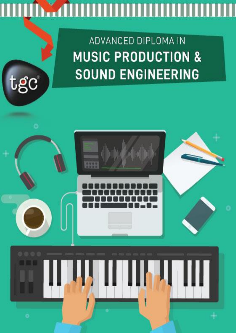# <u> A TIMO A TIMO A TIMO A TIMO A TIMO A TIMO A TIMO A TIMO A TIMO A TIMO A TIMO A TIMO A TIMO A TIMO A TIMO A T</u> W

 $t$ g $\rm c$ 

# ADVANCED DIPLOMA IN **MUSIC PRODUCTION & SOUND ENGINEERING**

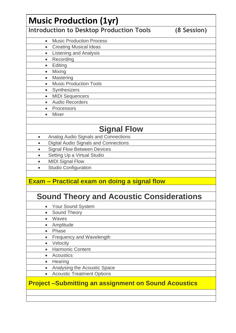|           | <b>Introduction to Desktop Production Tools</b>                                                        | (8 Session) |
|-----------|--------------------------------------------------------------------------------------------------------|-------------|
| $\bullet$ | <b>Music Production Process</b>                                                                        |             |
| $\bullet$ | <b>Creating Musical Ideas</b>                                                                          |             |
| $\bullet$ | <b>Listening and Analysis</b>                                                                          |             |
|           | Recording                                                                                              |             |
| $\bullet$ | Editing                                                                                                |             |
| $\bullet$ | Mixing                                                                                                 |             |
| $\bullet$ | Mastering                                                                                              |             |
| $\bullet$ | <b>Music Production Tools</b>                                                                          |             |
| $\bullet$ | Synthesizers                                                                                           |             |
| $\bullet$ | <b>MIDI Sequencers</b>                                                                                 |             |
|           | <b>Audio Recorders</b>                                                                                 |             |
| $\bullet$ | Processors                                                                                             |             |
| $\bullet$ | <b>Mixer</b>                                                                                           |             |
|           | <b>Signal Flow</b>                                                                                     |             |
| $\bullet$ | Analog Audio Signals and Connections                                                                   |             |
| $\bullet$ | <b>Digital Audio Signals and Connections</b>                                                           |             |
| $\bullet$ | <b>Signal Flow Between Devices</b>                                                                     |             |
| $\bullet$ | Setting Up a Virtual Studio                                                                            |             |
| $\bullet$ | <b>MIDI Signal Flow</b>                                                                                |             |
| $\bullet$ | <b>Studio Configuration</b>                                                                            |             |
|           | <b>Exam – Practical exam on doing a signal flow</b><br><b>Sound Theory and Acoustic Considerations</b> |             |
|           | Your Sound System                                                                                      |             |
| $\bullet$ | Sound Theory                                                                                           |             |
| $\bullet$ | Waves                                                                                                  |             |
| $\bullet$ | Amplitude                                                                                              |             |
| $\bullet$ | Phase                                                                                                  |             |
| $\bullet$ | Frequency and Wavelength                                                                               |             |
| $\bullet$ | Velocity                                                                                               |             |
|           | <b>Harmonic Content</b>                                                                                |             |
|           | <b>Acoustics</b>                                                                                       |             |
| $\bullet$ | Hearing                                                                                                |             |
|           | Analysing the Acoustic Space                                                                           |             |
|           | <b>Acoustic Treatment Options</b>                                                                      |             |
| $\bullet$ |                                                                                                        |             |
| $\bullet$ | <b>Project-Submitting an assignment on Sound Acoustics</b>                                             |             |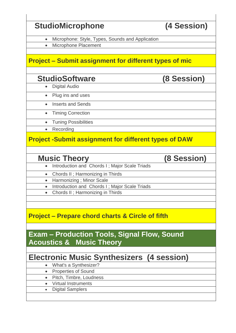## **StudioMicrophone (4 Session)** • Microphone: Style, Types, Sounds and Application • Microphone Placement **Project – Submit assignment for different types of mic StudioSoftware (8 Session)** • Digital Audio • Plug ins and uses • Inserts and Sends • Timing Correction • Tuning Possibilities • Recording **Project -Submit assignment for different types of DAW Music Theory (8 Session)** • Introduction and Chords I ; Major Scale Triads • Chords II ; Harmonizing in Thirds • Harmonizing ; Minor Scale • Introduction and Chords I ; Major Scale Triads • Chords II ; Harmonizing in Thirds **Project – Prepare chord charts & Circle of fifth Exam – Production Tools, Signal Flow, Sound Acoustics & Music Theory Electronic Music Synthesizers (4 session)** • What's a Synthesizer? • Properties of Sound • Pitch, Timbre, Loudness • Virtual Instruments • Digital Samplers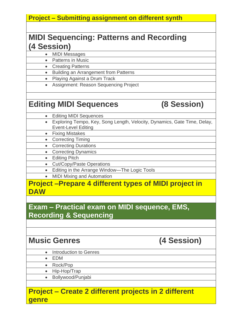#### **Project – Submitting assignment on different synth**

#### **MIDI Sequencing: Patterns and Recording (4 Session)**

• MIDI Messages

- Patterns in Music
- Creating Patterns
- Building an Arrangement from Patterns
- Playing Against a Drum Track
- Assignment: Reason Sequencing Project

#### **Editing MIDI Sequences (8 Session)**

- Editing MIDI Sequences
- Exploring Tempo, Key, Song Length, Velocity, Dynamics, Gate Time, Delay, Event-Level Editing
	- Fixing Mistakes
	- Correcting Timing
	- Correcting Durations
	- Correcting Dynamics
	- Editing Pitch
	- Cut/Copy/Paste Operations
	- Editing in the Arrange Window—The Logic Tools
	- MIDI Mixing and Automation

#### **Project –Prepare 4 different types of MIDI project in DAW**

**Exam – Practical exam on MIDI sequence, EMS, Recording & Sequencing**

### **Music Genres (4 Session)**

- Introduction to Genres
- EDM
- Rock/Pop
- Hip-Hop/Trap
- Bollywood/Punjabi

#### **Project – Create 2 different projects in 2 different genre**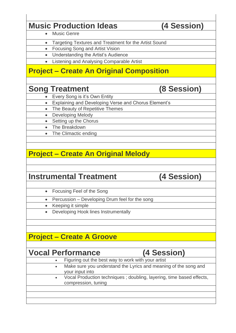### **Music Production Ideas (4 Session)**

- Music Genre
- Targeting Textures and Treatment for the Artist Sound
- Focusing Song and Artist Vision
- Understanding the Artist's Audience
- Listening and Analysing Comparable Artist

### **Project – Create An Original Composition**

#### **Song Treatment (8 Session)**

- Every Song is it's Own Entity
- Explaining and Developing Verse and Chorus Element's
- The Beauty of Repetitive Themes
- Developing Melody
	- Setting up the Chorus
	- The Breakdown
	- The Climactic ending

### **Project – Create An Original Melody**

#### **Instrumental Treatment (4 Session)**

- Focusing Feel of the Song
- Percussion Developing Drum feel for the song
- Keeping it simple
- Developing Hook lines Instrumentally

#### **Project – Create A Groove**

#### **Vocal Performance (4 Session)**

- Figuring out the best way to work with your artist
- Make sure you understand the Lyrics and meaning of the song and your input into
- Vocal Production techniques ; doubling, layering, time based effects, compression, tuning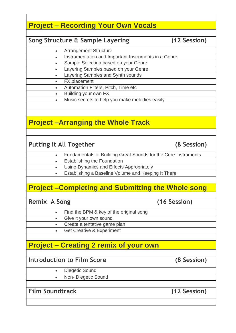#### **Project – Recording Your Own Vocals**

#### **Song Structure & Sample Layering (12 Session)**

- Arrangement Structure
- Instrumentation and Important Instruments in a Genre
- Sample Selection based on your Genre
- Layering Samples based on your Genre
- Layering Samples and Synth sounds
- FX placement
	- Automation Filters, Pitch, Time etc
	- Building your own FX
	- Music secrets to help you make melodies easily

### **Project –Arranging the Whole Track**

#### Putting it All Together (8 Session)

- Fundamentals of Building Great Sounds for the Core Instruments
- **Establishing the Foundation**
- Using Dynamics and Effects Appropriately
- Establishing a Baseline Volume and Keeping It There

### **Project –Completing and Submitting the Whole song**

**Remix A Song (16 Session)**

- Find the BPM & key of the original song
- Give it your own sound
- Create a tentative game plan
- Get Creative & Experiment

### **Project – Creating 2 remix of your own**

**Introduction to Film Score (8 Session)**

Diegetic Sound

• Non- Diegetic Sound

**Film Soundtrack (12 Session)**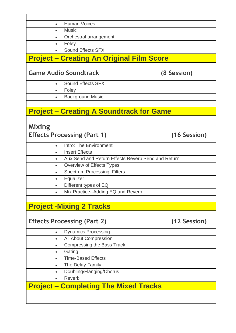| $\bullet$ | <b>Human Voices</b>                                |              |
|-----------|----------------------------------------------------|--------------|
| $\bullet$ | <b>Music</b>                                       |              |
| $\bullet$ | Orchestral arrangement                             |              |
| $\bullet$ | Foley                                              |              |
| $\bullet$ | Sound Effects SFX                                  |              |
|           | <b>Project – Creating An Original Film Score</b>   |              |
|           | <b>Game Audio Soundtrack</b>                       | (8 Session)  |
| $\bullet$ | <b>Sound Effects SFX</b>                           |              |
| $\bullet$ | Foley                                              |              |
|           | <b>Background Music</b>                            |              |
| $\bullet$ |                                                    |              |
|           | <b>Project – Creating A Soundtrack for Game</b>    |              |
|           |                                                    |              |
| Mixing    |                                                    |              |
|           | <b>Effects Processing (Part 1)</b>                 | (16 Session) |
| $\bullet$ | Intro: The Environment                             |              |
| $\bullet$ | <b>Insert Effects</b>                              |              |
| $\bullet$ | Aux Send and Return Effects Reverb Send and Return |              |
| $\bullet$ | Overview of Effects Types                          |              |
| $\bullet$ | <b>Spectrum Processing: Filters</b>                |              |
| $\bullet$ | Equalizer                                          |              |
| $\bullet$ | Different types of EQ                              |              |
|           | Mix Practice--Adding EQ and Reverb                 |              |
|           |                                                    |              |
|           |                                                    |              |
|           | <b>Project -Mixing 2 Tracks</b>                    |              |
|           |                                                    |              |
|           | <b>Effects Processing (Part 2)</b>                 | (12 Session) |
| $\bullet$ | <b>Dynamics Processing</b>                         |              |
| $\bullet$ | All About Compression                              |              |
| $\bullet$ | <b>Compressing the Bass Track</b>                  |              |
| $\bullet$ | Gating                                             |              |
|           | <b>Time-Based Effects</b>                          |              |
| $\bullet$ | The Delay Family                                   |              |
| $\bullet$ | Doubling/Flanging/Chorus                           |              |
| $\bullet$ | Reverb                                             |              |